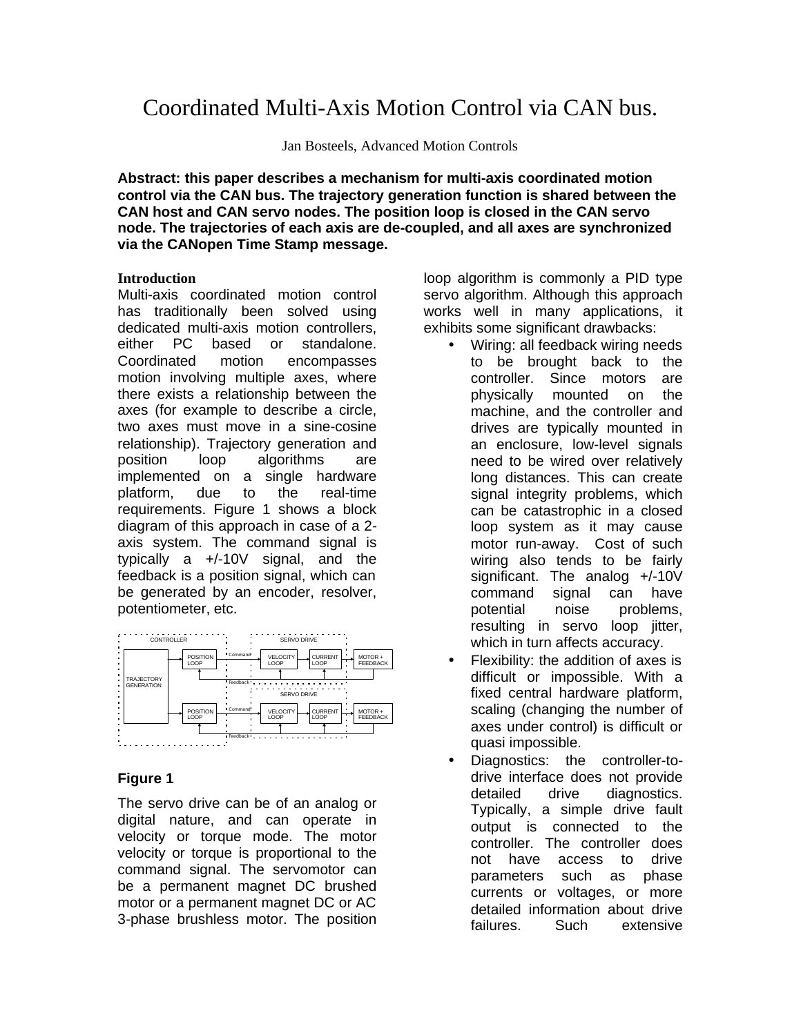# Coordinated Multi-Axis Motion Control via CAN bus.

Jan Bosteels, Advanced Motion Controls

**Abstract: this paper describes a mechanism for multi-axis coordinated motion control via the CAN bus. The trajectory generation function is shared between the CAN host and CAN servo nodes. The position loop is closed in the CAN servo node. The trajectories of each axis are de-coupled, and all axes are synchronized via the CANopen Time Stamp message.**

#### **Introduction**

Multi-axis coordinated motion control has traditionally been solved using dedicated multi-axis motion controllers, either PC based or standalone. Coordinated motion encompasses motion involving multiple axes, where there exists a relationship between the axes (for example to describe a circle, two axes must move in a sine-cosine relationship). Trajectory generation and position loop algorithms are implemented on a single hardware platform, due to the real-time requirements. Figure 1 shows a block diagram of this approach in case of a 2 axis system. The command signal is typically a +/-10V signal, and the feedback is a position signal, which can be generated by an encoder, resolver, potentiometer, etc.



## **Figure 1**

The servo drive can be of an analog or digital nature, and can operate in velocity or torque mode. The motor velocity or torque is proportional to the command signal. The servomotor can be a permanent magnet DC brushed motor or a permanent magnet DC or AC 3-phase brushless motor. The position

loop algorithm is commonly a PID type servo algorithm. Although this approach works well in many applications, it exhibits some significant drawbacks:

- Wiring: all feedback wiring needs to be brought back to the controller. Since motors are physically mounted on the machine, and the controller and drives are typically mounted in an enclosure, low-level signals need to be wired over relatively long distances. This can create signal integrity problems, which can be catastrophic in a closed loop system as it may cause motor run-away. Cost of such wiring also tends to be fairly significant. The analog +/-10V command signal can have potential noise problems, resulting in servo loop jitter, which in turn affects accuracy.
- Flexibility: the addition of axes is difficult or impossible. With a fixed central hardware platform, scaling (changing the number of axes under control) is difficult or quasi impossible.
- Diagnostics: the controller-todrive interface does not provide detailed drive diagnostics. Typically, a simple drive fault output is connected to the controller. The controller does not have access to drive parameters such as phase currents or voltages, or more detailed information about drive failures. Such extensive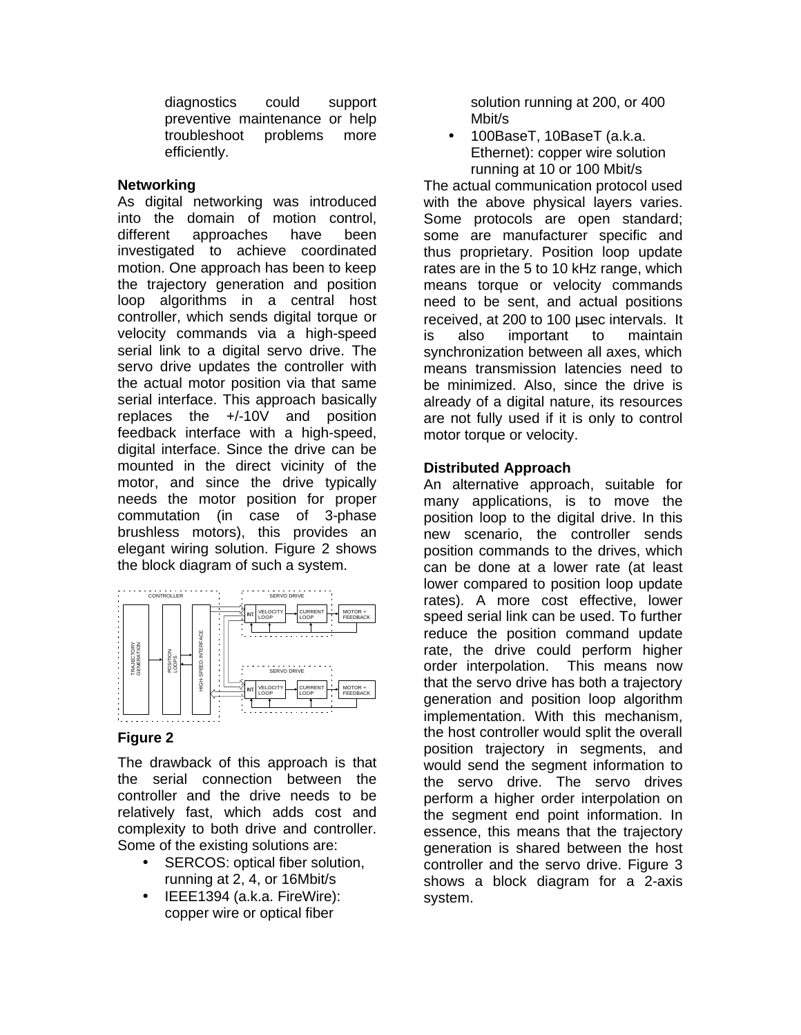diagnostics could support preventive maintenance or help troubleshoot problems more efficiently.

### **Networking**

As digital networking was introduced into the domain of motion control, different approaches have been investigated to achieve coordinated motion. One approach has been to keep the trajectory generation and position loop algorithms in a central host controller, which sends digital torque or velocity commands via a high-speed serial link to a digital servo drive. The servo drive updates the controller with the actual motor position via that same serial interface. This approach basically replaces the +/-10V and position feedback interface with a high-speed, digital interface. Since the drive can be mounted in the direct vicinity of the motor, and since the drive typically needs the motor position for proper commutation (in case of 3-phase brushless motors), this provides an elegant wiring solution. Figure 2 shows the block diagram of such a system.



## **Figure 2**

The drawback of this approach is that the serial connection between the controller and the drive needs to be relatively fast, which adds cost and complexity to both drive and controller. Some of the existing solutions are:

- SERCOS: optical fiber solution, running at 2, 4, or 16Mbit/s
- IEEE1394 (a.k.a. FireWire): copper wire or optical fiber

solution running at 200, or 400 Mbit/s

• 100BaseT, 10BaseT (a.k.a. Ethernet): copper wire solution running at 10 or 100 Mbit/s

The actual communication protocol used with the above physical layers varies. Some protocols are open standard; some are manufacturer specific and thus proprietary. Position loop update rates are in the 5 to 10 kHz range, which means torque or velocity commands need to be sent, and actual positions received, at 200 to 100 μsec intervals. It is also important to maintain synchronization between all axes, which means transmission latencies need to be minimized. Also, since the drive is already of a digital nature, its resources are not fully used if it is only to control motor torque or velocity.

# **Distributed Approach**

An alternative approach, suitable for many applications, is to move the position loop to the digital drive. In this new scenario, the controller sends position commands to the drives, which can be done at a lower rate (at least lower compared to position loop update rates). A more cost effective, lower speed serial link can be used. To further reduce the position command update rate, the drive could perform higher order interpolation. This means now that the servo drive has both a trajectory generation and position loop algorithm implementation. With this mechanism, the host controller would split the overall position trajectory in segments, and would send the segment information to the servo drive. The servo drives perform a higher order interpolation on the segment end point information. In essence, this means that the trajectory generation is shared between the host controller and the servo drive. Figure 3 shows a block diagram for a 2-axis system.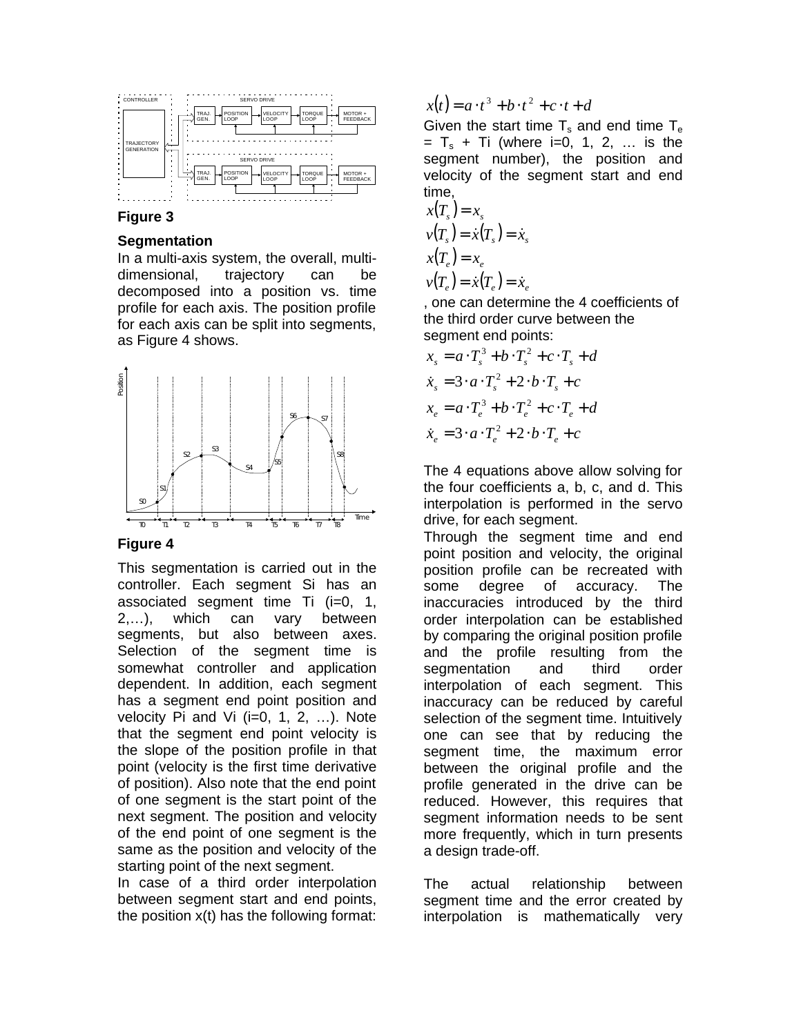

#### **Figure 3**

#### **Segmentation**

In a multi-axis system, the overall, multidimensional, trajectory can be decomposed into a position vs. time profile for each axis. The position profile for each axis can be split into segments, as Figure 4 shows.



#### **Figure 4**

This segmentation is carried out in the controller. Each segment Si has an associated segment time Ti (i=0, 1, 2,…), which can vary between segments, but also between axes. Selection of the segment time is somewhat controller and application dependent. In addition, each segment has a segment end point position and velocity Pi and Vi  $(i=0, 1, 2, ...)$ . Note that the segment end point velocity is the slope of the position profile in that point (velocity is the first time derivative of position). Also note that the end point of one segment is the start point of the next segment. The position and velocity of the end point of one segment is the same as the position and velocity of the starting point of the next segment.

In case of a third order interpolation between segment start and end points, the position x(t) has the following format:

 $x(t) = a \cdot t^3 + b \cdot t^2 + c \cdot t + d$ 

Given the start time  $T_s$  and end time  $T_e$  $= T_{s} + Ti$  (where i=0, 1, 2, ... is the segment number), the position and velocity of the segment start and end time,

$$
x(T_s) = x_s
$$
  
\n
$$
v(T_s) = \dot{x}(T_s) = \dot{x}_s
$$
  
\n
$$
x(T_e) = x_e
$$
  
\n
$$
v(T_e) = \dot{x}(T_e) = \dot{x}_e
$$

, one can determine the 4 coefficients of the third order curve between the segment end points:

$$
x_s = a \cdot T_s^3 + b \cdot T_s^2 + c \cdot T_s + d
$$
  
\n
$$
\dot{x}_s = 3 \cdot a \cdot T_s^2 + 2 \cdot b \cdot T_s + c
$$
  
\n
$$
x_e = a \cdot T_e^3 + b \cdot T_e^2 + c \cdot T_e + d
$$
  
\n
$$
\dot{x}_e = 3 \cdot a \cdot T_e^2 + 2 \cdot b \cdot T_e + c
$$

The 4 equations above allow solving for the four coefficients a, b, c, and d. This interpolation is performed in the servo drive, for each segment.

Through the segment time and end point position and velocity, the original position profile can be recreated with some degree of accuracy. The inaccuracies introduced by the third order interpolation can be established by comparing the original position profile and the profile resulting from the segmentation and third order interpolation of each segment. This inaccuracy can be reduced by careful selection of the segment time. Intuitively one can see that by reducing the segment time, the maximum error between the original profile and the profile generated in the drive can be reduced. However, this requires that segment information needs to be sent more frequently, which in turn presents a design trade-off.

The actual relationship between segment time and the error created by interpolation is mathematically very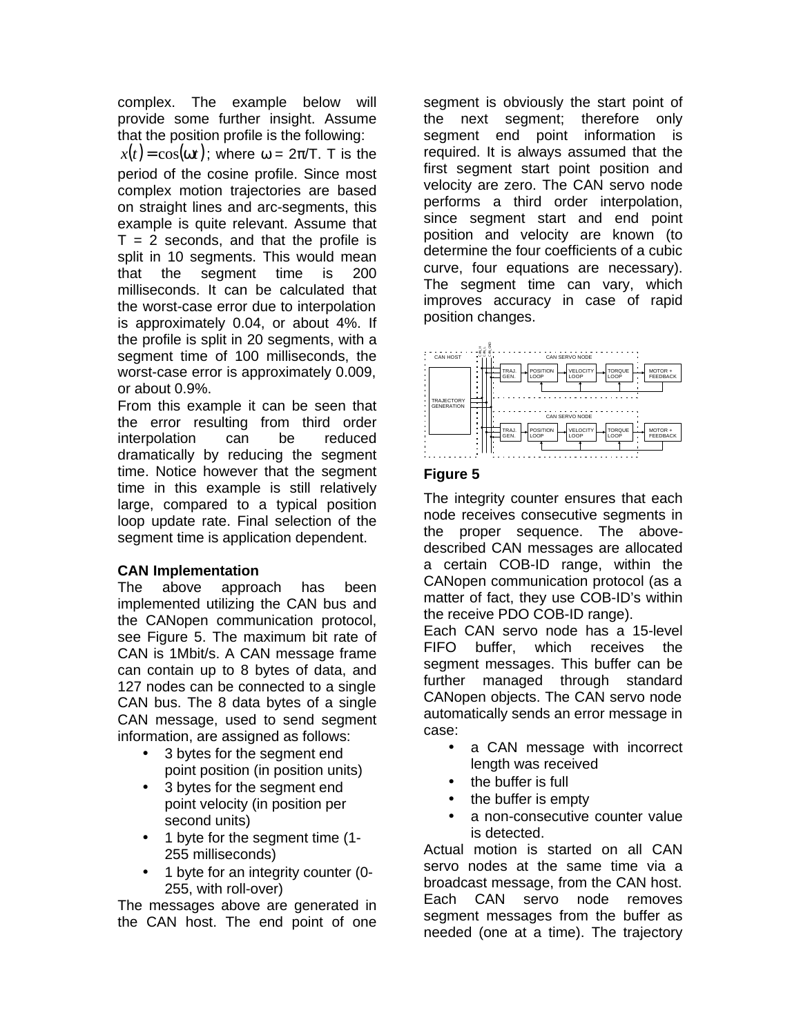complex. The example below will provide some further insight. Assume that the position profile is the following:

 $x(t) = \cos(wt)$ ; where  $\omega = 2\pi/T$ . T is the period of the cosine profile. Since most complex motion trajectories are based on straight lines and arc-segments, this example is quite relevant. Assume that  $T = 2$  seconds, and that the profile is split in 10 segments. This would mean that the segment time is 200 milliseconds. It can be calculated that the worst-case error due to interpolation is approximately 0.04, or about 4%. If the profile is split in 20 segments, with a segment time of 100 milliseconds, the worst-case error is approximately 0.009, or about 0.9%.

From this example it can be seen that the error resulting from third order interpolation can be reduced dramatically by reducing the segment time. Notice however that the segment time in this example is still relatively large, compared to a typical position loop update rate. Final selection of the segment time is application dependent.

## **CAN Implementation**

The above approach has been implemented utilizing the CAN bus and the CANopen communication protocol, see Figure 5. The maximum bit rate of CAN is 1Mbit/s. A CAN message frame can contain up to 8 bytes of data, and 127 nodes can be connected to a single CAN bus. The 8 data bytes of a single CAN message, used to send segment information, are assigned as follows:

- 3 bytes for the segment end point position (in position units)
- 3 bytes for the segment end point velocity (in position per second units)
- 1 byte for the segment time (1- 255 milliseconds)
- 1 byte for an integrity counter (0- 255, with roll-over)

The messages above are generated in the CAN host. The end point of one

segment is obviously the start point of the next segment; therefore only segment end point information is required. It is always assumed that the first segment start point position and velocity are zero. The CAN servo node performs a third order interpolation, since segment start and end point position and velocity are known (to determine the four coefficients of a cubic curve, four equations are necessary). The segment time can vary, which improves accuracy in case of rapid position changes.



## **Figure 5**

The integrity counter ensures that each node receives consecutive segments in the proper sequence. The abovedescribed CAN messages are allocated a certain COB-ID range, within the CANopen communication protocol (as a matter of fact, they use COB-ID's within the receive PDO COB-ID range).

Each CAN servo node has a 15-level FIFO buffer, which receives the segment messages. This buffer can be further managed through standard CANopen objects. The CAN servo node automatically sends an error message in case:

- a CAN message with incorrect length was received
- the buffer is full
- the buffer is empty
- a non-consecutive counter value is detected.

Actual motion is started on all CAN servo nodes at the same time via a broadcast message, from the CAN host. Each CAN servo node removes segment messages from the buffer as needed (one at a time). The trajectory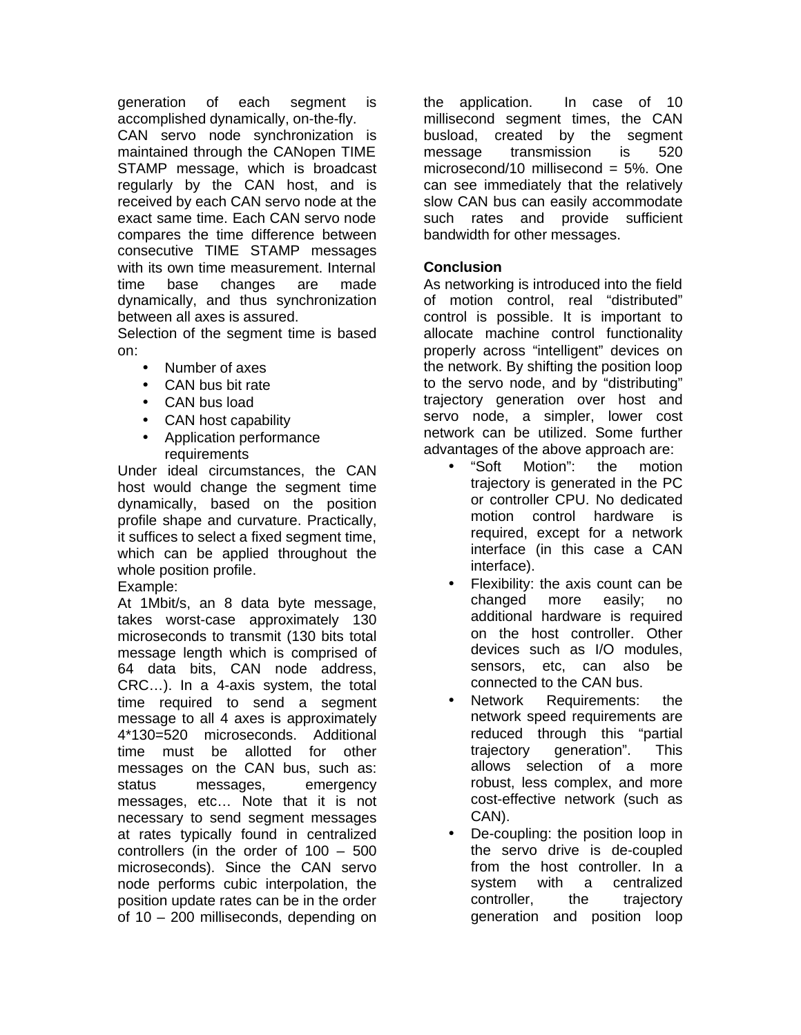generation of each segment is accomplished dynamically, on-the-fly. CAN servo node synchronization is maintained through the CANopen TIME STAMP message, which is broadcast regularly by the CAN host, and is received by each CAN servo node at the exact same time. Each CAN servo node compares the time difference between consecutive TIME STAMP messages with its own time measurement. Internal time base changes are made dynamically, and thus synchronization between all axes is assured.

Selection of the segment time is based on:

- Number of axes
- CAN bus bit rate
- CAN bus load
- CAN host capability
- Application performance requirements

Under ideal circumstances, the CAN host would change the segment time dynamically, based on the position profile shape and curvature. Practically, it suffices to select a fixed segment time, which can be applied throughout the whole position profile.

Example:

At 1Mbit/s, an 8 data byte message, takes worst-case approximately 130 microseconds to transmit (130 bits total message length which is comprised of 64 data bits, CAN node address, CRC…). In a 4-axis system, the total time required to send a segment message to all 4 axes is approximately 4\*130=520 microseconds. Additional time must be allotted for other messages on the CAN bus, such as: status messages, emergency messages, etc… Note that it is not necessary to send segment messages at rates typically found in centralized controllers (in the order of 100 – 500 microseconds). Since the CAN servo node performs cubic interpolation, the position update rates can be in the order of 10 – 200 milliseconds, depending on the application. In case of 10 millisecond segment times, the CAN busload, created by the segment message transmission is 520 microsecond/10 millisecond  $= 5\%$ . One can see immediately that the relatively slow CAN bus can easily accommodate such rates and provide sufficient bandwidth for other messages.

# **Conclusion**

As networking is introduced into the field of motion control, real "distributed" control is possible. It is important to allocate machine control functionality properly across "intelligent" devices on the network. By shifting the position loop to the servo node, and by "distributing" trajectory generation over host and servo node, a simpler, lower cost network can be utilized. Some further advantages of the above approach are:

- "Soft Motion": the motion trajectory is generated in the PC or controller CPU. No dedicated motion control hardware is required, except for a network interface (in this case a CAN interface).
- Flexibility: the axis count can be changed more easily; no additional hardware is required on the host controller. Other devices such as I/O modules, sensors, etc, can also be connected to the CAN bus.
- Network Requirements: the network speed requirements are reduced through this "partial trajectory generation". This allows selection of a more robust, less complex, and more cost-effective network (such as CAN).
- De-coupling: the position loop in the servo drive is de-coupled from the host controller. In a system with a centralized controller, the trajectory generation and position loop